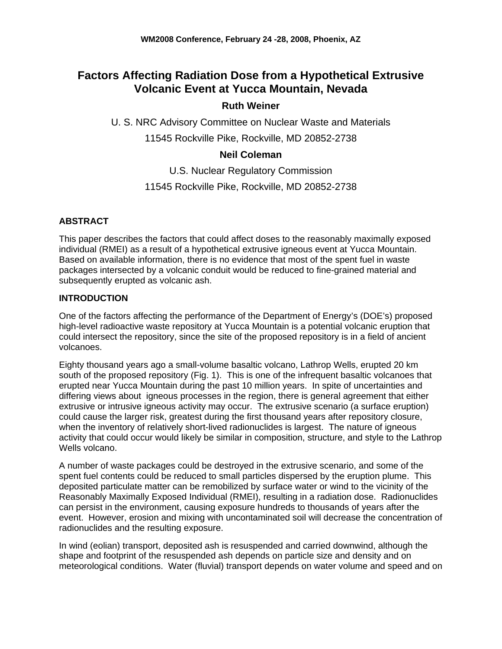# **Factors Affecting Radiation Dose from a Hypothetical Extrusive Volcanic Event at Yucca Mountain, Nevada**

# **Ruth Weiner**

U. S. NRC Advisory Committee on Nuclear Waste and Materials

11545 Rockville Pike, Rockville, MD 20852-2738

# **Neil Coleman**

U.S. Nuclear Regulatory Commission

# 11545 Rockville Pike, Rockville, MD 20852-2738

### **ABSTRACT**

This paper describes the factors that could affect doses to the reasonably maximally exposed individual (RMEI) as a result of a hypothetical extrusive igneous event at Yucca Mountain. Based on available information, there is no evidence that most of the spent fuel in waste packages intersected by a volcanic conduit would be reduced to fine-grained material and subsequently erupted as volcanic ash.

### **INTRODUCTION**

One of the factors affecting the performance of the Department of Energy's (DOE's) proposed high-level radioactive waste repository at Yucca Mountain is a potential volcanic eruption that could intersect the repository, since the site of the proposed repository is in a field of ancient volcanoes.

Eighty thousand years ago a small-volume basaltic volcano, Lathrop Wells, erupted 20 km south of the proposed repository (Fig. 1). This is one of the infrequent basaltic volcanoes that erupted near Yucca Mountain during the past 10 million years. In spite of uncertainties and differing views about igneous processes in the region, there is general agreement that either extrusive or intrusive igneous activity may occur. The extrusive scenario (a surface eruption) could cause the larger risk, greatest during the first thousand years after repository closure, when the inventory of relatively short-lived radionuclides is largest. The nature of igneous activity that could occur would likely be similar in composition, structure, and style to the Lathrop Wells volcano.

A number of waste packages could be destroyed in the extrusive scenario, and some of the spent fuel contents could be reduced to small particles dispersed by the eruption plume. This deposited particulate matter can be remobilized by surface water or wind to the vicinity of the Reasonably Maximally Exposed Individual (RMEI), resulting in a radiation dose. Radionuclides can persist in the environment, causing exposure hundreds to thousands of years after the event. However, erosion and mixing with uncontaminated soil will decrease the concentration of radionuclides and the resulting exposure.

In wind (eolian) transport, deposited ash is resuspended and carried downwind, although the shape and footprint of the resuspended ash depends on particle size and density and on meteorological conditions. Water (fluvial) transport depends on water volume and speed and on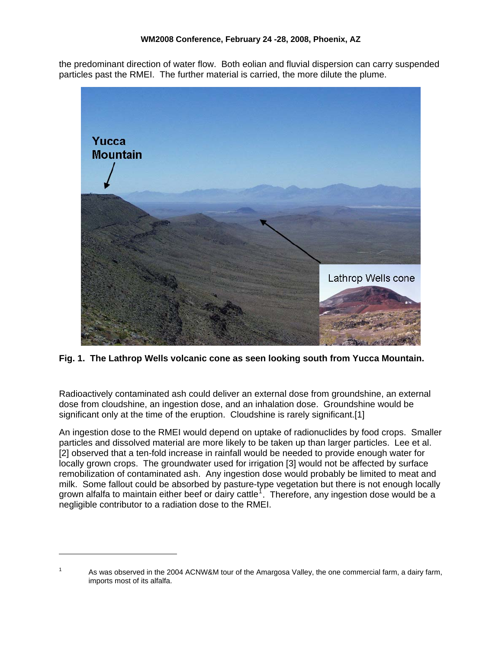the predominant direction of water flow. Both eolian and fluvial dispersion can carry suspended particles past the RMEI. The further material is carried, the more dilute the plume.



**Fig. 1. The Lathrop Wells volcanic cone as seen looking south from Yucca Mountain.** 

Radioactively contaminated ash could deliver an external dose from groundshine, an external dose from cloudshine, an ingestion dose, and an inhalation dose. Groundshine would be significant only at the time of the eruption. Cloudshine is rarely significant.[1]

An ingestion dose to the RMEI would depend on uptake of radionuclides by food crops. Smaller particles and dissolved material are more likely to be taken up than larger particles. Lee et al. [2] observed that a ten-fold increase in rainfall would be needed to provide enough water for locally grown crops. The groundwater used for irrigation [3] would not be affected by surface remobilization of contaminated ash. Any ingestion dose would probably be limited to meat and milk. Some fallout could be absorbed by pasture-type vegetation but there is not enough locally grown alfalfa to maintain either beef or dairy cattle<sup>[1](#page-1-0)</sup>. Therefore, any ingestion dose would be a negligible contributor to a radiation dose to the RMEI.

<span id="page-1-0"></span><sup>1</sup> As was observed in the 2004 ACNW&M tour of the Amargosa Valley, the one commercial farm, a dairy farm, imports most of its alfalfa.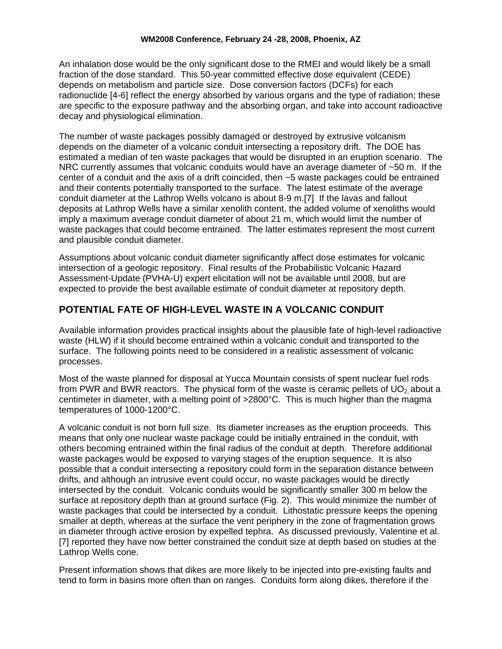#### **WM2008 Conference, February 24 -28, 2008, Phoenix, AZ**

An inhalation dose would be the only significant dose to the RMEI and would likely be a small fraction of the dose standard. This 50-year committed effective dose equivalent (CEDE) depends on metabolism and particle size. Dose conversion factors (DCFs) for each radionuclide [4-6] reflect the energy absorbed by various organs and the type of radiation; these are specific to the exposure pathway and the absorbing organ, and take into account radioactive decay and physiological elimination.

The number of waste packages possibly damaged or destroyed by extrusive volcanism depends on the diameter of a volcanic conduit intersecting a repository drift. The DOE has estimated a median of ten waste packages that would be disrupted in an eruption scenario. The NRC currently assumes that volcanic conduits would have an average diameter of ~50 m. If the center of a conduit and the axis of a drift coincided, then ~5 waste packages could be entrained and their contents potentially transported to the surface. The latest estimate of the average conduit diameter at the Lathrop Wells volcano is about 8-9 m.[7] If the lavas and fallout deposits at Lathrop Wells have a similar xenolith content, the added volume of xenoliths would imply a maximum average conduit diameter of about 21 m, which would limit the number of waste packages that could become entrained. The latter estimates represent the most current and plausible conduit diameter.

Assumptions about volcanic conduit diameter significantly affect dose estimates for volcanic intersection of a geologic repository. Final results of the Probabilistic Volcanic Hazard Assessment-Update (PVHA-U) expert elicitation will not be available until 2008, but are expected to provide the best available estimate of conduit diameter at repository depth.

# **POTENTIAL FATE OF HIGH-LEVEL WASTE IN A VOLCANIC CONDUIT**

Available information provides practical insights about the plausible fate of high-level radioactive waste (HLW) if it should become entrained within a volcanic conduit and transported to the surface. The following points need to be considered in a realistic assessment of volcanic processes.

Most of the waste planned for disposal at Yucca Mountain consists of spent nuclear fuel rods from PWR and BWR reactors. The physical form of the waste is ceramic pellets of  $UO<sub>2</sub>$  about a centimeter in diameter, with a melting point of >2800°C. This is much higher than the magma temperatures of 1000-1200°C.

A volcanic conduit is not born full size. Its diameter increases as the eruption proceeds. This means that only one nuclear waste package could be initially entrained in the conduit, with others becoming entrained within the final radius of the conduit at depth. Therefore additional waste packages would be exposed to varying stages of the eruption sequence. It is also possible that a conduit intersecting a repository could form in the separation distance between drifts, and although an intrusive event could occur, no waste packages would be directly intersected by the conduit. Volcanic conduits would be significantly smaller 300 m below the surface at repository depth than at ground surface (Fig. 2). This would minimize the number of waste packages that could be intersected by a conduit. Lithostatic pressure keeps the opening smaller at depth, whereas at the surface the vent periphery in the zone of fragmentation grows in diameter through active erosion by expelled tephra. As discussed previously, Valentine et al. [7] reported they have now better constrained the conduit size at depth based on studies at the Lathrop Wells cone.

Present information shows that dikes are more likely to be injected into pre-existing faults and tend to form in basins more often than on ranges. Conduits form along dikes, therefore if the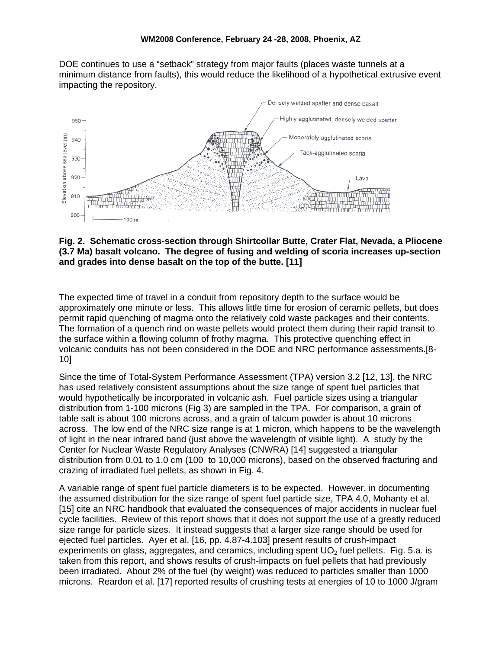DOE continues to use a "setback" strategy from major faults (places waste tunnels at a minimum distance from faults), this would reduce the likelihood of a hypothetical extrusive event impacting the repository.



#### **Fig. 2. Schematic cross-section through Shirtcollar Butte, Crater Flat, Nevada, a Pliocene (3.7 Ma) basalt volcano. The degree of fusing and welding of scoria increases up-section and grades into dense basalt on the top of the butte. [11]**

The expected time of travel in a conduit from repository depth to the surface would be approximately one minute or less. This allows little time for erosion of ceramic pellets, but does permit rapid quenching of magma onto the relatively cold waste packages and their contents. The formation of a quench rind on waste pellets would protect them during their rapid transit to the surface within a flowing column of frothy magma. This protective quenching effect in volcanic conduits has not been considered in the DOE and NRC performance assessments.[8- 10]

Since the time of Total-System Performance Assessment (TPA) version 3.2 [12, 13], the NRC has used relatively consistent assumptions about the size range of spent fuel particles that would hypothetically be incorporated in volcanic ash. Fuel particle sizes using a triangular distribution from 1-100 microns ([Fig 3](#page-4-0)) are sampled in the TPA. For comparison, a grain of table salt is about 100 microns across, and a grain of talcum powder is about 10 microns across. The low end of the NRC size range is at 1 micron, which happens to be the wavelength of light in the near infrared band (just above the wavelength of visible light). A study by the Center for Nuclear Waste Regulatory Analyses (CNWRA) [14] suggested a triangular distribution from 0.01 to 1.0 cm (100 to 10,000 microns), based on the observed fracturing and crazing of irradiated fuel pellets, as shown in [Fig.](#page-5-0) 4.

A variable range of spent fuel particle diameters is to be expected. However, in documenting the assumed distribution for the size range of spent fuel particle size, TPA 4.0, Mohanty et al. [15] cite an NRC handbook that evaluated the consequences of major accidents in nuclear fuel cycle facilities. Review of this report shows that it does not support the use of a greatly reduced size range for particle sizes. It instead suggests that a larger size range should be used for ejected fuel particles. Ayer et al. [16, pp. 4.87-4.103] present results of crush-impact experiments on glass, aggregates, and ceramics, including spent  $UO<sub>2</sub>$  fuel pellets. [Fig. 5.](#page-5-1)a. is taken from this report, and shows results of crush-impacts on fuel pellets that had previously been irradiated. About 2% of the fuel (by weight) was reduced to particles smaller than 1000 microns. Reardon et al. [17] reported results of crushing tests at energies of 10 to 1000 J/gram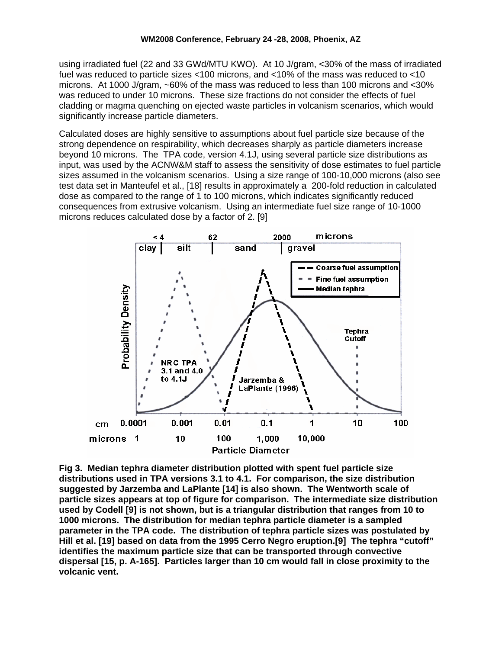using irradiated fuel (22 and 33 GWd/MTU KWO). At 10 J/gram, <30% of the mass of irradiated fuel was reduced to particle sizes <100 microns, and <10% of the mass was reduced to <10 microns. At 1000 J/gram, ~60% of the mass was reduced to less than 100 microns and <30% was reduced to under 10 microns. These size fractions do not consider the effects of fuel cladding or magma quenching on ejected waste particles in volcanism scenarios, which would significantly increase particle diameters.

Calculated doses are highly sensitive to assumptions about fuel particle size because of the strong dependence on respirability, which decreases sharply as particle diameters increase beyond 10 microns. The TPA code, version 4.1J, using several particle size distributions as input, was used by the ACNW&M staff to assess the sensitivity of dose estimates to fuel particle sizes assumed in the volcanism scenarios. Using a size range of 100-10,000 microns (also see test data set in Manteufel et al., [18] results in approximately a 200-fold reduction in calculated dose as compared to the range of 1 to 100 microns, which indicates significantly reduced consequences from extrusive volcanism. Using an intermediate fuel size range of 10-1000 microns reduces calculated dose by a factor of 2. [9]



<span id="page-4-0"></span>**Fig 3. Median tephra diameter distribution plotted with spent fuel particle size distributions used in TPA versions 3.1 to 4.1. For comparison, the size distribution suggested by Jarzemba and LaPlante [14] is also shown. The Wentworth scale of particle sizes appears at top of figure for comparison. The intermediate size distribution used by Codell [9] is not shown, but is a triangular distribution that ranges from 10 to 1000 microns. The distribution for median tephra particle diameter is a sampled parameter in the TPA code. The distribution of tephra particle sizes was postulated by Hill et al. [19] based on data from the 1995 Cerro Negro eruption.[9] The tephra "cutoff" identifies the maximum particle size that can be transported through convective dispersal [15, p. A-165]. Particles larger than 10 cm would fall in close proximity to the volcanic vent.**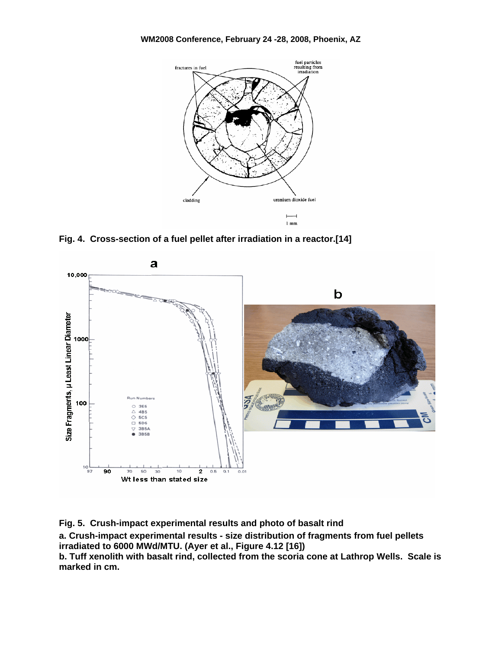

**Fig. 4. Cross-section of a fuel pellet after irradiation in a reactor.[14]** 

<span id="page-5-0"></span>

<span id="page-5-1"></span>**Fig. 5. Crush-impact experimental results and photo of basalt rind a. Crush-impact experimental results - size distribution of fragments from fuel pellets irradiated to 6000 MWd/MTU. (Ayer et al., Figure 4.12 [16]) b. Tuff xenolith with basalt rind, collected from the scoria cone at Lathrop Wells. Scale is marked in cm.**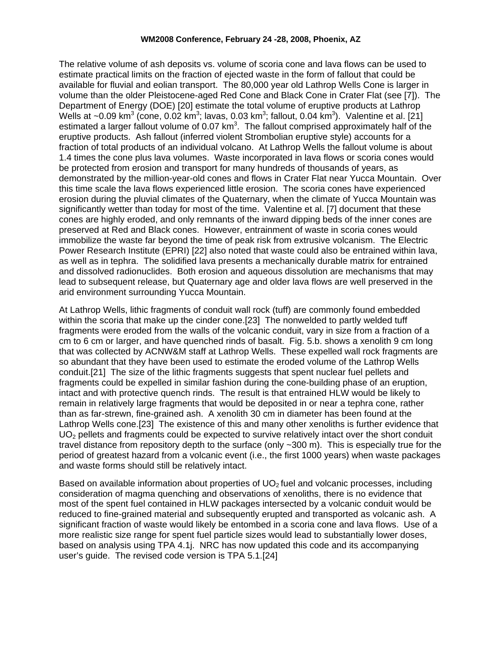#### **WM2008 Conference, February 24 -28, 2008, Phoenix, AZ**

The relative volume of ash deposits vs. volume of scoria cone and lava flows can be used to estimate practical limits on the fraction of ejected waste in the form of fallout that could be available for fluvial and eolian transport. The 80,000 year old Lathrop Wells Cone is larger in volume than the older Pleistocene-aged Red Cone and Black Cone in Crater Flat (see [7]). The Department of Energy (DOE) [20] estimate the total volume of eruptive products at Lathrop Wells at ~0.09 km<sup>3</sup> (cone, 0.02 km<sup>3</sup>; lavas, 0.03 km<sup>3</sup>; fallout, 0.04 km<sup>3</sup>). Valentine et al. [21] estimated a larger fallout volume of 0.07 km<sup>3</sup>. The fallout comprised approximately half of the eruptive products. Ash fallout (inferred violent Strombolian eruptive style) accounts for a fraction of total products of an individual volcano. At Lathrop Wells the fallout volume is about 1.4 times the cone plus lava volumes. Waste incorporated in lava flows or scoria cones would be protected from erosion and transport for many hundreds of thousands of years, as demonstrated by the million-year-old cones and flows in Crater Flat near Yucca Mountain. Over this time scale the lava flows experienced little erosion. The scoria cones have experienced erosion during the pluvial climates of the Quaternary, when the climate of Yucca Mountain was significantly wetter than today for most of the time. Valentine et al. [7] document that these cones are highly eroded, and only remnants of the inward dipping beds of the inner cones are preserved at Red and Black cones. However, entrainment of waste in scoria cones would immobilize the waste far beyond the time of peak risk from extrusive volcanism. The Electric Power Research Institute (EPRI) [22] also noted that waste could also be entrained within lava, as well as in tephra. The solidified lava presents a mechanically durable matrix for entrained and dissolved radionuclides. Both erosion and aqueous dissolution are mechanisms that may lead to subsequent release, but Quaternary age and older lava flows are well preserved in the arid environment surrounding Yucca Mountain.

At Lathrop Wells, lithic fragments of conduit wall rock (tuff) are commonly found embedded within the scoria that make up the cinder cone.[23] The nonwelded to partly welded tuff fragments were eroded from the walls of the volcanic conduit, vary in size from a fraction of a cm to 6 cm or larger, and have quenched rinds of basalt. [Fig. 5.](#page-5-1)b. shows a xenolith 9 cm long that was collected by ACNW&M staff at Lathrop Wells. These expelled wall rock fragments are so abundant that they have been used to estimate the eroded volume of the Lathrop Wells conduit.[21] The size of the lithic fragments suggests that spent nuclear fuel pellets and fragments could be expelled in similar fashion during the cone-building phase of an eruption, intact and with protective quench rinds. The result is that entrained HLW would be likely to remain in relatively large fragments that would be deposited in or near a tephra cone, rather than as far-strewn, fine-grained ash. A xenolith 30 cm in diameter has been found at the Lathrop Wells cone.[23] The existence of this and many other xenoliths is further evidence that UO<sub>2</sub> pellets and fragments could be expected to survive relatively intact over the short conduit travel distance from repository depth to the surface (only ~300 m). This is especially true for the period of greatest hazard from a volcanic event (i.e., the first 1000 years) when waste packages and waste forms should still be relatively intact.

Based on available information about properties of  $UO<sub>2</sub>$  fuel and volcanic processes, including consideration of magma quenching and observations of xenoliths, there is no evidence that most of the spent fuel contained in HLW packages intersected by a volcanic conduit would be reduced to fine-grained material and subsequently erupted and transported as volcanic ash. A significant fraction of waste would likely be entombed in a scoria cone and lava flows. Use of a more realistic size range for spent fuel particle sizes would lead to substantially lower doses, based on analysis using TPA 4.1j. NRC has now updated this code and its accompanying user's guide. The revised code version is TPA 5.1.[24]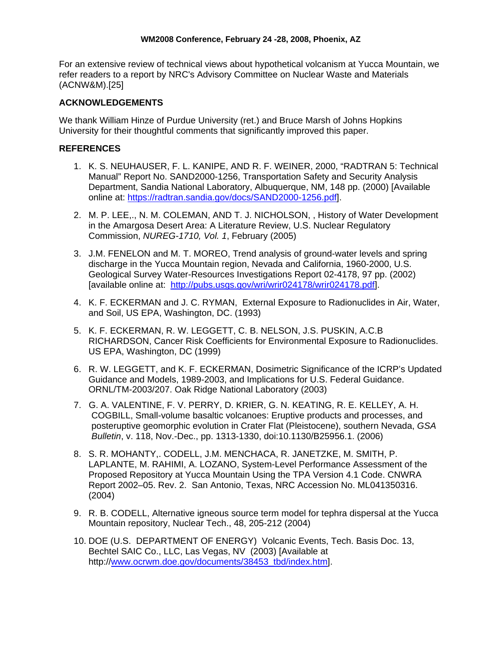For an extensive review of technical views about hypothetical volcanism at Yucca Mountain, we refer readers to a report by NRC's Advisory Committee on Nuclear Waste and Materials (ACNW&M).[25]

### **ACKNOWLEDGEMENTS**

We thank William Hinze of Purdue University (ret.) and Bruce Marsh of Johns Hopkins University for their thoughtful comments that significantly improved this paper.

### **REFERENCES**

- 1. K. S. NEUHAUSER, F. L. KANIPE, AND R. F. WEINER, 2000, "RADTRAN 5: Technical Manual" Report No. SAND2000-1256, Transportation Safety and Security Analysis Department, Sandia National Laboratory, Albuquerque, NM, 148 pp. (2000) [Available online at: [https://radtran.sandia.gov/docs/SAND2000-1256.pdf\]](https://radtran.sandia.gov/docs/SAND2000-1256.pdf).
- 2. M. P. LEE,., N. M. COLEMAN, AND T. J. NICHOLSON, , History of Water Development in the Amargosa Desert Area: A Literature Review, U.S. Nuclear Regulatory Commission, *NUREG-1710, Vol. 1*, February (2005)
- 3. J.M. FENELON and M. T. MOREO, Trend analysis of ground-water levels and spring discharge in the Yucca Mountain region, Nevada and California, 1960-2000, U.S. Geological Survey Water-Resources Investigations Report 02-4178, 97 pp. (2002) [available online at: <http://pubs.usgs.gov/wri/wrir024178/wrir024178.pdf>].
- 4. K. F. ECKERMAN and J. C. RYMAN, External Exposure to Radionuclides in Air, Water, and Soil, US EPA, Washington, DC. (1993)
- 5. K. F. ECKERMAN, R. W. LEGGETT, C. B. NELSON, J.S. PUSKIN, A.C.B RICHARDSON, Cancer Risk Coefficients for Environmental Exposure to Radionuclides. US EPA, Washington, DC (1999)
- 6. R. W. LEGGETT, and K. F. ECKERMAN, Dosimetric Significance of the ICRP's Updated Guidance and Models, 1989-2003, and Implications for U.S. Federal Guidance. ORNL/TM-2003/207. Oak Ridge National Laboratory (2003)
- 7. G. A. VALENTINE, F. V. PERRY, D. KRIER, G. N. KEATING, R. E. KELLEY, A. H. COGBILL, Small-volume basaltic volcanoes: Eruptive products and processes, and posteruptive geomorphic evolution in Crater Flat (Pleistocene), southern Nevada, *GSA Bulletin*, v. 118, Nov.-Dec., pp. 1313-1330, doi:10.1130/B25956.1. (2006)
- 8. S. R. MOHANTY,. CODELL, J.M. MENCHACA, R. JANETZKE, M. SMITH, P. LAPLANTE, M. RAHIMI, A. LOZANO, System-Level Performance Assessment of the Proposed Repository at Yucca Mountain Using the TPA Version 4.1 Code. CNWRA Report 2002–05. Rev. 2. San Antonio, Texas, NRC Accession No. ML041350316. (2004)
- 9. R. B. CODELL, Alternative igneous source term model for tephra dispersal at the Yucca Mountain repository, Nuclear Tech., 48, 205-212 (2004)
- 10. DOE (U.S. DEPARTMENT OF ENERGY) Volcanic Events, Tech. Basis Doc. 13, Bechtel SAIC Co., LLC, Las Vegas, NV (2003) [Available at http://[www.ocrwm.doe.gov/documents/38453\\_tbd/index.htm\]](http://www.ocrwm.doe.gov/documents/38453_tbd/index.htm).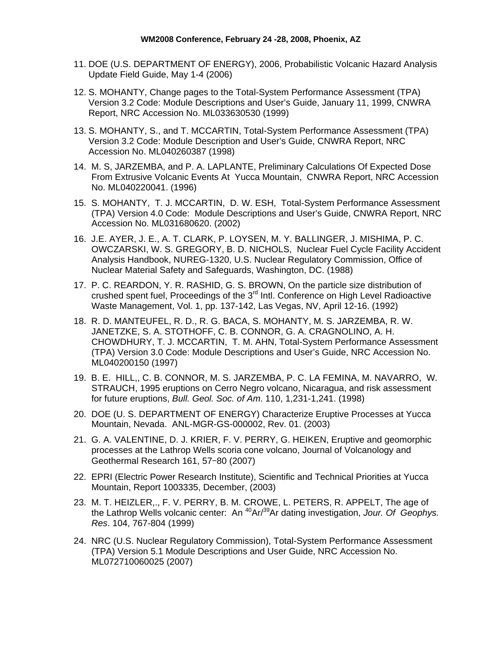- 11. DOE (U.S. DEPARTMENT OF ENERGY), 2006, Probabilistic Volcanic Hazard Analysis Update Field Guide, May 1-4 (2006)
- 12. S. MOHANTY, Change pages to the Total-System Performance Assessment (TPA) Version 3.2 Code: Module Descriptions and User's Guide, January 11, 1999, CNWRA Report, NRC Accession No. ML033630530 (1999)
- 13. S. MOHANTY, S., and T. MCCARTIN, Total-System Performance Assessment (TPA) Version 3.2 Code: Module Description and User's Guide, CNWRA Report, NRC Accession No. ML040260387 (1998)
- 14. M. S, JARZEMBA, and P. A. LAPLANTE, Preliminary Calculations Of Expected Dose From Extrusive Volcanic Events At Yucca Mountain, CNWRA Report, NRC Accession No. ML040220041. (1996)
- 15. S. MOHANTY, T. J. MCCARTIN, D. W. ESH, Total-System Performance Assessment (TPA) Version 4.0 Code: Module Descriptions and User's Guide, CNWRA Report, NRC Accession No. ML031680620. (2002)
- 16. J.E. AYER, J. E., A. T. CLARK, P. LOYSEN, M. Y. BALLINGER, J. MISHIMA, P. C. OWCZARSKI, W. S. GREGORY, B. D. NICHOLS, Nuclear Fuel Cycle Facility Accident Analysis Handbook, NUREG-1320, U.S. Nuclear Regulatory Commission, Office of Nuclear Material Safety and Safeguards, Washington, DC. (1988)
- 17. P. C. REARDON, Y. R. RASHID, G. S. BROWN, On the particle size distribution of crushed spent fuel, Proceedings of the 3<sup>rd</sup> Intl. Conference on High Level Radioactive Waste Management, Vol. 1, pp. 137-142, Las Vegas, NV, April 12-16. (1992)
- 18. R. D. MANTEUFEL, R. D., R. G. BACA, S. MOHANTY, M. S. JARZEMBA, R. W. JANETZKE, S. A. STOTHOFF, C. B. CONNOR, G. A. CRAGNOLINO, A. H. CHOWDHURY, T. J. MCCARTIN, T. M. AHN, Total-System Performance Assessment (TPA) Version 3.0 Code: Module Descriptions and User's Guide, NRC Accession No. ML040200150 (1997)
- 19. B. E. HILL,, C. B. CONNOR, M. S. JARZEMBA, P. C. LA FEMINA, M. NAVARRO, W. STRAUCH, 1995 eruptions on Cerro Negro volcano, Nicaragua, and risk assessment for future eruptions, *Bull. Geol. Soc. of Am*. 110, 1,231-1,241. (1998)
- 20. DOE (U. S. DEPARTMENT OF ENERGY) Characterize Eruptive Processes at Yucca Mountain, Nevada. ANL-MGR-GS-000002, Rev. 01. (2003)
- 21. G. A. VALENTINE, D. J. KRIER, F. V. PERRY, G. HEIKEN, Eruptive and geomorphic processes at the Lathrop Wells scoria cone volcano, Journal of Volcanology and Geothermal Research 161, 57–80 (2007)
- 22. EPRI (Electric Power Research Institute), Scientific and Technical Priorities at Yucca Mountain, Report 1003335, December, (2003)
- 23. M. T. HEIZLER,., F. V. PERRY, B. M. CROWE, L. PETERS, R. APPELT, The age of the Lathrop Wells volcanic center: An 40Ar/39Ar dating investigation, *Jour. Of Geophys. Res*. 104, 767-804 (1999)
- 24. NRC (U.S. Nuclear Regulatory Commission), Total-System Performance Assessment (TPA) Version 5.1 Module Descriptions and User Guide, NRC Accession No. ML072710060025 (2007)